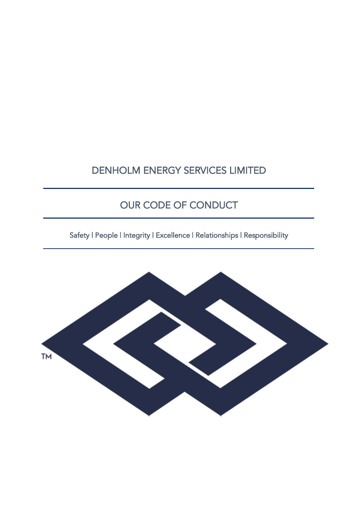# DENHOLM ENERGY SERVICES LIMITED

# OUR CODE OF CONDUCT

Safety | People | Integrity | Excellence | Relationships | Responsibility

Ī

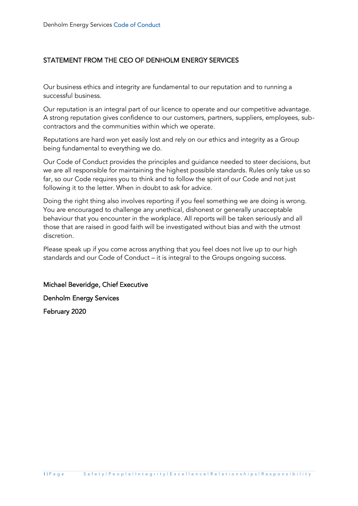### STATEMENT FROM THE CEO OF DENHOLM ENERGY SERVICES

Our business ethics and integrity are fundamental to our reputation and to running a successful business.

Our reputation is an integral part of our licence to operate and our competitive advantage. A strong reputation gives confidence to our customers, partners, suppliers, employees, subcontractors and the communities within which we operate.

Reputations are hard won yet easily lost and rely on our ethics and integrity as a Group being fundamental to everything we do.

Our Code of Conduct provides the principles and guidance needed to steer decisions, but we are all responsible for maintaining the highest possible standards. Rules only take us so far, so our Code requires you to think and to follow the spirit of our Code and not just following it to the letter. When in doubt to ask for advice.

Doing the right thing also involves reporting if you feel something we are doing is wrong. You are encouraged to challenge any unethical, dishonest or generally unacceptable behaviour that you encounter in the workplace. All reports will be taken seriously and all those that are raised in good faith will be investigated without bias and with the utmost discretion.

Please speak up if you come across anything that you feel does not live up to our high standards and our Code of Conduct – it is integral to the Groups ongoing success.

Michael Beveridge, Chief Executive Denholm Energy Services February 2020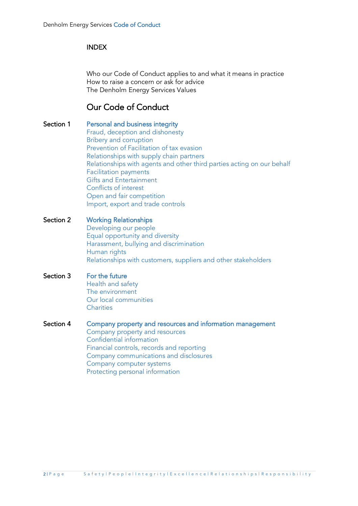#### INDEX

Who our Code of Conduct applies to and what it means in practice How to raise a concern or ask for advice The Denholm Energy Services Values

### Our Code of Conduct

- Section 1 Personal and business integrity Fraud, deception and dishonesty Bribery and corruption Prevention of Facilitation of tax evasion Relationships with supply chain partners Relationships with agents and other third parties acting on our behalf Facilitation payments Gifts and Entertainment Conflicts of interest Open and fair competition Import, export and trade controls
- Section 2 Working Relationships Developing our people Equal opportunity and diversity Harassment, bullying and discrimination Human rights Relationships with customers, suppliers and other stakeholders

### Section 3 For the future

Health and safety The environment Our local communities **Charities** 

#### Section 4 Company property and resources and information management

Company property and resources Confidential information Financial controls, records and reporting Company communications and disclosures Company computer systems Protecting personal information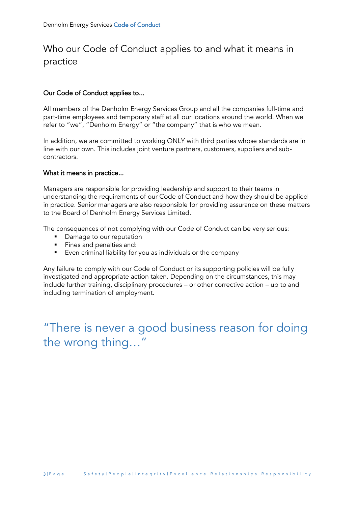# Who our Code of Conduct applies to and what it means in practice

### Our Code of Conduct applies to...

All members of the Denholm Energy Services Group and all the companies full-time and part-time employees and temporary staff at all our locations around the world. When we refer to "we", "Denholm Energy" or "the company" that is who we mean.

In addition, we are committed to working ONLY with third parties whose standards are in line with our own. This includes joint venture partners, customers, suppliers and subcontractors.

#### What it means in practice...

Managers are responsible for providing leadership and support to their teams in understanding the requirements of our Code of Conduct and how they should be applied in practice. Senior managers are also responsible for providing assurance on these matters to the Board of Denholm Energy Services Limited.

The consequences of not complying with our Code of Conduct can be very serious:

- Damage to our reputation
- Fines and penalties and:
- Even criminal liability for you as individuals or the company

Any failure to comply with our Code of Conduct or its supporting policies will be fully investigated and appropriate action taken. Depending on the circumstances, this may include further training, disciplinary procedures – or other corrective action – up to and including termination of employment.

"There is never a good business reason for doing the wrong thing…"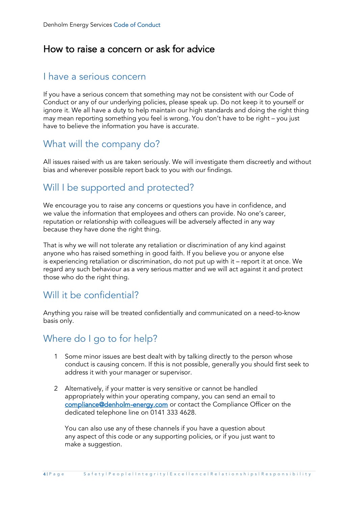### How to raise a concern or ask for advice

### I have a serious concern

If you have a serious concern that something may not be consistent with our Code of Conduct or any of our underlying policies, please speak up. Do not keep it to yourself or ignore it. We all have a duty to help maintain our high standards and doing the right thing may mean reporting something you feel is wrong. You don't have to be right – you just have to believe the information you have is accurate.

### What will the company do?

All issues raised with us are taken seriously. We will investigate them discreetly and without bias and wherever possible report back to you with our findings.

### Will I be supported and protected?

We encourage you to raise any concerns or questions you have in confidence, and we value the information that employees and others can provide. No one's career, reputation or relationship with colleagues will be adversely affected in any way because they have done the right thing.

That is why we will not tolerate any retaliation or discrimination of any kind against anyone who has raised something in good faith. If you believe you or anyone else is experiencing retaliation or discrimination, do not put up with it – report it at once. We regard any such behaviour as a very serious matter and we will act against it and protect those who do the right thing.

### Will it be confidential?

Anything you raise will be treated confidentially and communicated on a need-to-know basis only.

### Where do I go to for help?

- 1 Some minor issues are best dealt with by talking directly to the person whose conduct is causing concern. If this is not possible, generally you should first seek to address it with your manager or supervisor.
- 2 Alternatively, if your matter is very sensitive or cannot be handled appropriately within your operating company, you can send an email to [compliance@denholm-energy.com](mailto:compliance@denholm-oilfield.com) or contact the Compliance Officer on the dedicated telephone line on 0141 333 4628.

You can also use any of these channels if you have a question about any aspect of this code or any supporting policies, or if you just want to make a suggestion.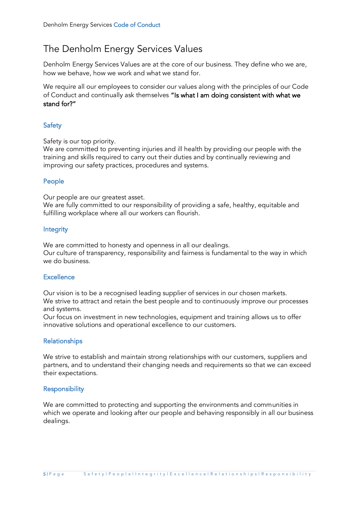# The Denholm Energy Services Values

Denholm Energy Services Values are at the core of our business. They define who we are, how we behave, how we work and what we stand for.

We require all our employees to consider our values along with the principles of our Code of Conduct and continually ask themselves "Is what I am doing consistent with what we stand for?"

### **Safety**

Safety is our top priority.

We are committed to preventing injuries and ill health by providing our people with the training and skills required to carry out their duties and by continually reviewing and improving our safety practices, procedures and systems.

### People

Our people are our greatest asset.

We are fully committed to our responsibility of providing a safe, healthy, equitable and fulfilling workplace where all our workers can flourish.

#### **Integrity**

We are committed to honesty and openness in all our dealings. Our culture of transparency, responsibility and fairness is fundamental to the way in which we do business.

#### **Excellence**

Our vision is to be a recognised leading supplier of services in our chosen markets. We strive to attract and retain the best people and to continuously improve our processes and systems.

Our focus on investment in new technologies, equipment and training allows us to offer innovative solutions and operational excellence to our customers.

#### Relationships

We strive to establish and maintain strong relationships with our customers, suppliers and partners, and to understand their changing needs and requirements so that we can exceed their expectations.

#### **Responsibility**

We are committed to protecting and supporting the environments and communities in which we operate and looking after our people and behaving responsibly in all our business dealings.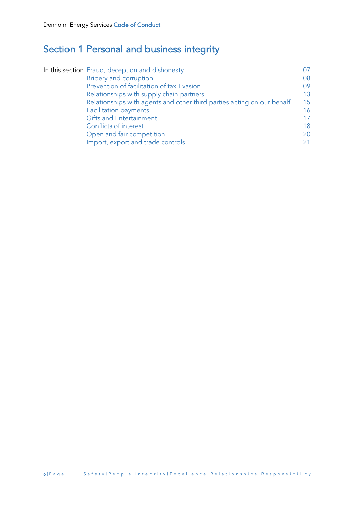# Section 1 Personal and business integrity

| In this section Fraud, deception and dishonesty                        |    |
|------------------------------------------------------------------------|----|
| <b>Bribery and corruption</b>                                          | 08 |
| Prevention of facilitation of tax Evasion                              | 09 |
| Relationships with supply chain partners                               | 13 |
| Relationships with agents and other third parties acting on our behalf | 15 |
| <b>Facilitation payments</b>                                           | 16 |
| <b>Gifts and Entertainment</b>                                         | 17 |
| Conflicts of interest                                                  | 18 |
| Open and fair competition                                              | 20 |
| Import, export and trade controls                                      | 21 |
|                                                                        |    |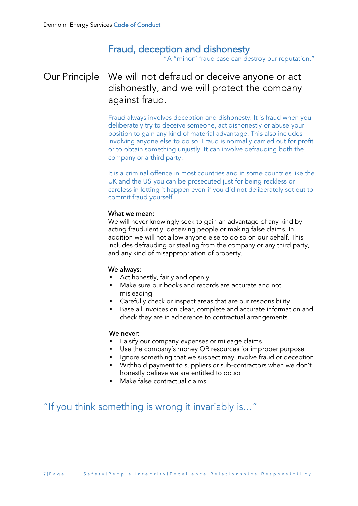# Fraud, deception and dishonesty

"A "minor" fraud case can destroy our reputation."

### Our Principle We will not defraud or deceive anyone or act dishonestly, and we will protect the company against fraud.

Fraud always involves deception and dishonesty. It is fraud when you deliberately try to deceive someone, act dishonestly or abuse your position to gain any kind of material advantage. This also includes involving anyone else to do so. Fraud is normally carried out for profit or to obtain something unjustly. It can involve defrauding both the company or a third party.

It is a criminal offence in most countries and in some countries like the UK and the US you can be prosecuted just for being reckless or careless in letting it happen even if you did not deliberately set out to commit fraud yourself.

#### What we mean:

We will never knowingly seek to gain an advantage of any kind by acting fraudulently, deceiving people or making false claims. In addition we will not allow anyone else to do so on our behalf. This includes defrauding or stealing from the company or any third party, and any kind of misappropriation of property.

#### We always:

- Act honestly, fairly and openly
- Make sure our books and records are accurate and not misleading
- Carefully check or inspect areas that are our responsibility
- Base all invoices on clear, complete and accurate information and check they are in adherence to contractual arrangements

#### We never:

- **EXECT** Falsify our company expenses or mileage claims
- Use the company's money OR resources for improper purpose
- Ignore something that we suspect may involve fraud or deception
- Withhold payment to suppliers or sub-contractors when we don't honestly believe we are entitled to do so
- Make false contractual claims

"If you think something is wrong it invariably is…"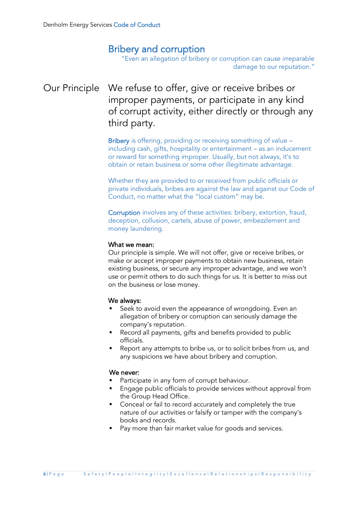### Bribery and corruption

"Even an allegation of bribery or corruption can cause irreparable damage to our reputation."

# Our Principle We refuse to offer, give or receive bribes or improper payments, or participate in any kind of corrupt activity, either directly or through any third party.

Bribery is offering, providing or receiving something of value including cash, gifts, hospitality or entertainment – as an inducement or reward for something improper. Usually, but not always, it's to obtain or retain business or some other illegitimate advantage.

Whether they are provided to or received from public officials or private individuals, bribes are against the law and against our Code of Conduct, no matter what the "local custom" may be.

Corruption involves any of these activities: bribery, extortion, fraud, deception, collusion, cartels, abuse of power, embezzlement and money laundering.

#### What we mean:

Our principle is simple. We will not offer, give or receive bribes, or make or accept improper payments to obtain new business, retain existing business, or secure any improper advantage, and we won't use or permit others to do such things for us. It is better to miss out on the business or lose money.

#### We always:

- Seek to avoid even the appearance of wrongdoing. Even an allegation of bribery or corruption can seriously damage the company's reputation.
- Record all payments, gifts and benefits provided to public officials.
- Report any attempts to bribe us, or to solicit bribes from us, and any suspicions we have about bribery and corruption.

- Participate in any form of corrupt behaviour.
- Engage public officials to provide services without approval from the Group Head Office.
- Conceal or fail to record accurately and completely the true nature of our activities or falsify or tamper with the company's books and records.
- Pay more than fair market value for goods and services.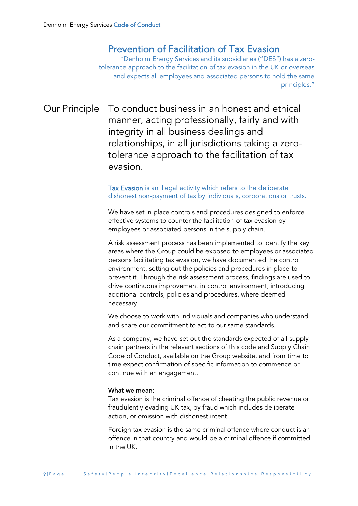### Prevention of Facilitation of Tax Evasion

"Denholm Energy Services and its subsidiaries ("DES") has a zerotolerance approach to the facilitation of tax evasion in the UK or overseas and expects all employees and associated persons to hold the same principles."

Our Principle To conduct business in an honest and ethical manner, acting professionally, fairly and with integrity in all business dealings and relationships, in all jurisdictions taking a zerotolerance approach to the facilitation of tax evasion.

#### Tax Evasion is an illegal activity which refers to the deliberate dishonest non-payment of tax by individuals, corporations or trusts.

We have set in place controls and procedures designed to enforce effective systems to counter the facilitation of tax evasion by employees or associated persons in the supply chain.

A risk assessment process has been implemented to identify the key areas where the Group could be exposed to employees or associated persons facilitating tax evasion, we have documented the control environment, setting out the policies and procedures in place to prevent it. Through the risk assessment process, findings are used to drive continuous improvement in control environment, introducing additional controls, policies and procedures, where deemed necessary.

We choose to work with individuals and companies who understand and share our commitment to act to our same standards.

As a company, we have set out the standards expected of all supply chain partners in the relevant sections of this code and Supply Chain Code of Conduct, available on the Group website, and from time to time expect confirmation of specific information to commence or continue with an engagement.

#### What we mean:

Tax evasion is the criminal offence of cheating the public revenue or fraudulently evading UK tax, by fraud which includes deliberate action, or omission with dishonest intent.

Foreign tax evasion is the same criminal offence where conduct is an offence in that country and would be a criminal offence if committed in the UK.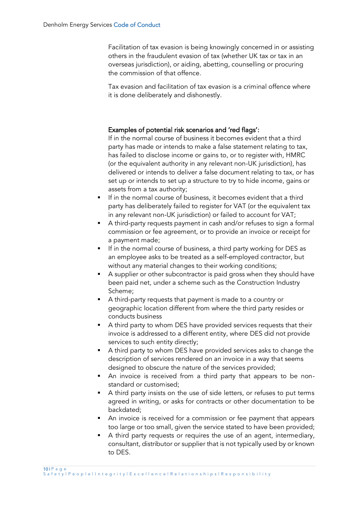Facilitation of tax evasion is being knowingly concerned in or assisting others in the fraudulent evasion of tax (whether UK tax or tax in an overseas jurisdiction), or aiding, abetting, counselling or procuring the commission of that offence.

Tax evasion and facilitation of tax evasion is a criminal offence where it is done deliberately and dishonestly.

#### Examples of potential risk scenarios and 'red flags':

If in the normal course of business it becomes evident that a third party has made or intends to make a false statement relating to tax, has failed to disclose income or gains to, or to register with, HMRC (or the equivalent authority in any relevant non-UK jurisdiction), has delivered or intends to deliver a false document relating to tax, or has set up or intends to set up a structure to try to hide income, gains or assets from a tax authority;

- If in the normal course of business, it becomes evident that a third party has deliberately failed to register for VAT (or the equivalent tax in any relevant non-UK jurisdiction) or failed to account for VAT;
- A third-party requests payment in cash and/or refuses to sign a formal commission or fee agreement, or to provide an invoice or receipt for a payment made;
- If in the normal course of business, a third party working for DES as an employee asks to be treated as a self-employed contractor, but without any material changes to their working conditions;
- A supplier or other subcontractor is paid gross when they should have been paid net, under a scheme such as the Construction Industry Scheme;
- A third-party requests that payment is made to a country or geographic location different from where the third party resides or conducts business
- A third party to whom DES have provided services requests that their invoice is addressed to a different entity, where DES did not provide services to such entity directly;
- A third party to whom DES have provided services asks to change the description of services rendered on an invoice in a way that seems designed to obscure the nature of the services provided;
- An invoice is received from a third party that appears to be nonstandard or customised;
- A third party insists on the use of side letters, or refuses to put terms agreed in writing, or asks for contracts or other documentation to be backdated;
- An invoice is received for a commission or fee payment that appears too large or too small, given the service stated to have been provided;
- A third party requests or requires the use of an agent, intermediary, consultant, distributor or supplier that is not typically used by or known to DES.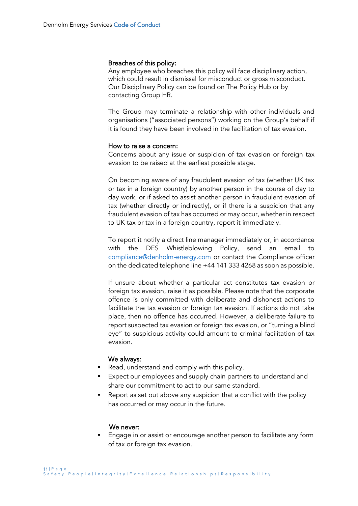#### Breaches of this policy:

Any employee who breaches this policy will face disciplinary action, which could result in dismissal for misconduct or gross misconduct. Our Disciplinary Policy can be found on The Policy Hub or by contacting Group HR.

The Group may terminate a relationship with other individuals and organisations ("associated persons") working on the Group's behalf if it is found they have been involved in the facilitation of tax evasion.

#### How to raise a concern:

Concerns about any issue or suspicion of tax evasion or foreign tax evasion to be raised at the earliest possible stage.

On becoming aware of any fraudulent evasion of tax (whether UK tax or tax in a foreign country) by another person in the course of day to day work, or if asked to assist another person in fraudulent evasion of tax (whether directly or indirectly), or if there is a suspicion that any fraudulent evasion of tax has occurred or may occur, whether in respect to UK tax or tax in a foreign country, report it immediately.

To report it notify a direct line manager immediately or, in accordance with the DES Whistleblowing Policy, send an email to [compliance@denholm-energy.com](mailto:compliance@denholm-oilfield.com) or contact the Compliance officer on the dedicated telephone line +44 141 333 4268 as soon as possible.

If unsure about whether a particular act constitutes tax evasion or foreign tax evasion, raise it as possible. Please note that the corporate offence is only committed with deliberate and dishonest actions to facilitate the tax evasion or foreign tax evasion. If actions do not take place, then no offence has occurred. However, a deliberate failure to report suspected tax evasion or foreign tax evasion, or "turning a blind eye" to suspicious activity could amount to criminal facilitation of tax evasion.

#### We always:

- Read, understand and comply with this policy.
- Expect our employees and supply chain partners to understand and share our commitment to act to our same standard.
- Report as set out above any suspicion that a conflict with the policy has occurred or may occur in the future.

#### We never:

Engage in or assist or encourage another person to facilitate any form of tax or foreign tax evasion.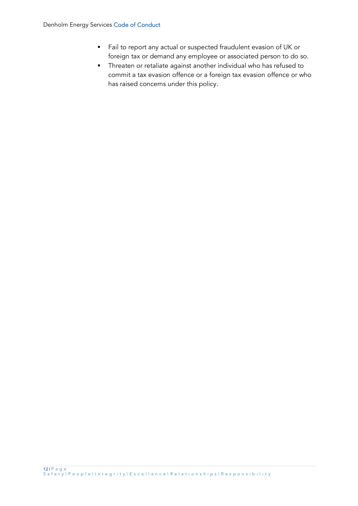- Fail to report any actual or suspected fraudulent evasion of UK or foreign tax or demand any employee or associated person to do so.
- Threaten or retaliate against another individual who has refused to commit a tax evasion offence or a foreign tax evasion offence or who has raised concerns under this policy.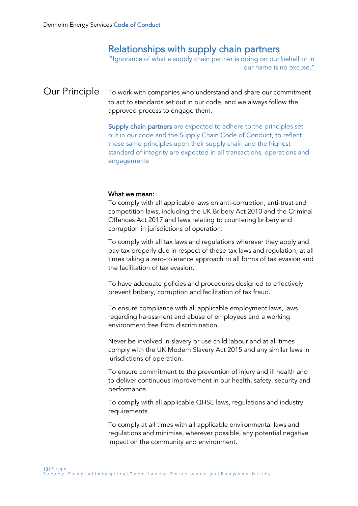### Relationships with supply chain partners

"Ignorance of what a supply chain partner is doing on our behalf or in our name is no excuse."

### Our Principle To work with companies who understand and share our commitment to act to standards set out in our code, and we always follow the approved process to engage them.

Supply chain partners are expected to adhere to the principles set out in our code and the Supply Chain Code of Conduct, to reflect these same principles upon their supply chain and the highest standard of integrity are expected in all transactions, operations and engagements

#### What we mean:

To comply with all applicable laws on anti-corruption, anti-trust and competition laws, including the UK Bribery Act 2010 and the Criminal Offences Act 2017 and laws relating to countering bribery and corruption in jurisdictions of operation.

To comply with all tax laws and regulations wherever they apply and pay tax properly due in respect of those tax laws and regulation, at all times taking a zero-tolerance approach to all forms of tax evasion and the facilitation of tax evasion.

To have adequate policies and procedures designed to effectively prevent bribery, corruption and facilitation of tax fraud.

To ensure compliance with all applicable employment laws, laws regarding harassment and abuse of employees and a working environment free from discrimination.

Never be involved in slavery or use child labour and at all times comply with the UK Modern Slavery Act 2015 and any similar laws in jurisdictions of operation.

To ensure commitment to the prevention of injury and ill health and to deliver continuous improvement in our health, safety, security and performance.

To comply with all applicable QHSE laws, regulations and industry requirements.

To comply at all times with all applicable environmental laws and regulations and minimise, wherever possible, any potential negative impact on the community and environment.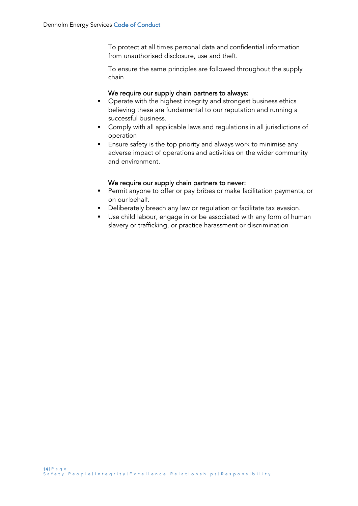To protect at all times personal data and confidential information from unauthorised disclosure, use and theft.

To ensure the same principles are followed throughout the supply chain

#### We require our supply chain partners to always:

- Operate with the highest integrity and strongest business ethics believing these are fundamental to our reputation and running a successful business.
- Comply with all applicable laws and regulations in all jurisdictions of operation
- Ensure safety is the top priority and always work to minimise any adverse impact of operations and activities on the wider community and environment.

#### We require our supply chain partners to never:

- Permit anyone to offer or pay bribes or make facilitation payments, or on our behalf.
- **•** Deliberately breach any law or regulation or facilitate tax evasion.
- Use child labour, engage in or be associated with any form of human slavery or trafficking, or practice harassment or discrimination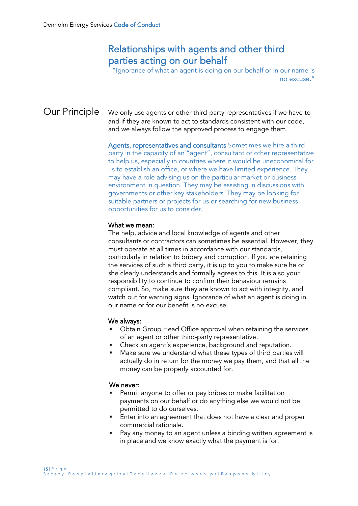### Relationships with agents and other third parties acting on our behalf

"Ignorance of what an agent is doing on our behalf or in our name is no excuse."

Our Principle We only use agents or other third-party representatives if we have to and if they are known to act to standards consistent with our code, and we always follow the approved process to engage them.

> Agents, representatives and consultants Sometimes we hire a third party in the capacity of an "agent", consultant or other representative to help us, especially in countries where it would be uneconomical for us to establish an office, or where we have limited experience. They may have a role advising us on the particular market or business environment in question. They may be assisting in discussions with governments or other key stakeholders. They may be looking for suitable partners or projects for us or searching for new business opportunities for us to consider.

#### What we mean:

The help, advice and local knowledge of agents and other consultants or contractors can sometimes be essential. However, they must operate at all times in accordance with our standards, particularly in relation to bribery and corruption. If you are retaining the services of such a third party, it is up to you to make sure he or she clearly understands and formally agrees to this. It is also your responsibility to continue to confirm their behaviour remains compliant. So, make sure they are known to act with integrity, and watch out for warning signs. Ignorance of what an agent is doing in our name or for our benefit is no excuse.

#### We always:

- Obtain Group Head Office approval when retaining the services of an agent or other third-party representative.
- Check an agent's experience, background and reputation.
- Make sure we understand what these types of third parties will actually do in return for the money we pay them, and that all the money can be properly accounted for.

- Permit anyone to offer or pay bribes or make facilitation payments on our behalf or do anything else we would not be permitted to do ourselves.
- Enter into an agreement that does not have a clear and proper commercial rationale.
- Pay any money to an agent unless a binding written agreement is in place and we know exactly what the payment is for.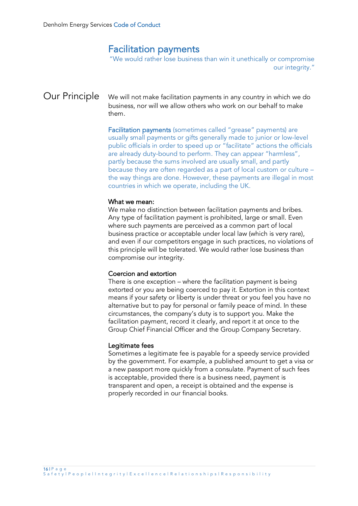### Facilitation payments

"We would rather lose business than win it unethically or compromise our integrity."

Our Principle We will not make facilitation payments in any country in which we do business, nor will we allow others who work on our behalf to make them.

> Facilitation payments (sometimes called "grease" payments) are usually small payments or gifts generally made to junior or low-level public officials in order to speed up or "facilitate" actions the officials are already duty-bound to perform. They can appear "harmless", partly because the sums involved are usually small, and partly because they are often regarded as a part of local custom or culture – the way things are done. However, these payments are illegal in most countries in which we operate, including the UK.

#### What we mean:

We make no distinction between facilitation payments and bribes. Any type of facilitation payment is prohibited, large or small. Even where such payments are perceived as a common part of local business practice or acceptable under local law (which is very rare), and even if our competitors engage in such practices, no violations of this principle will be tolerated. We would rather lose business than compromise our integrity.

#### Coercion and extortion

There is one exception – where the facilitation payment is being extorted or you are being coerced to pay it. Extortion in this context means if your safety or liberty is under threat or you feel you have no alternative but to pay for personal or family peace of mind. In these circumstances, the company's duty is to support you. Make the facilitation payment, record it clearly, and report it at once to the Group Chief Financial Officer and the Group Company Secretary.

#### Legitimate fees

Sometimes a legitimate fee is payable for a speedy service provided by the government. For example, a published amount to get a visa or a new passport more quickly from a consulate. Payment of such fees is acceptable, provided there is a business need, payment is transparent and open, a receipt is obtained and the expense is properly recorded in our financial books.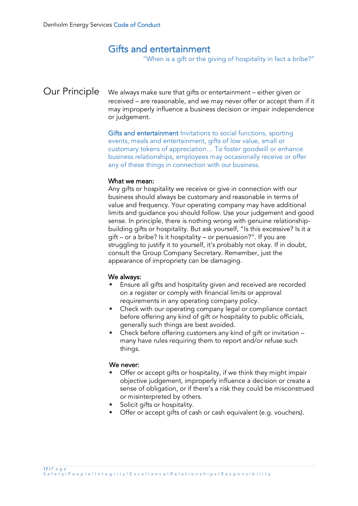### Gifts and entertainment

"When is a gift or the giving of hospitality in fact a bribe?"

Our Principle We always make sure that gifts or entertainment – either given or received – are reasonable, and we may never offer or accept them if it may improperly influence a business decision or impair independence or judgement.

> Gifts and entertainment Invitations to social functions, sporting events, meals and entertainment, gifts of low value, small or customary tokens of appreciation… To foster goodwill or enhance business relationships, employees may occasionally receive or offer any of these things in connection with our business.

#### What we mean:

Any gifts or hospitality we receive or give in connection with our business should always be customary and reasonable in terms of value and frequency. Your operating company may have additional limits and guidance you should follow. Use your judgement and good sense. In principle, there is nothing wrong with genuine relationshipbuilding gifts or hospitality. But ask yourself, "Is this excessive? Is it a gift – or a bribe? Is it hospitality – or persuasion?". If you are struggling to justify it to yourself, it's probably not okay. If in doubt, consult the Group Company Secretary. Remember, just the appearance of impropriety can be damaging.

#### We always:

- Ensure all gifts and hospitality given and received are recorded on a register or comply with financial limits or approval requirements in any operating company policy.
- Check with our operating company legal or compliance contact before offering any kind of gift or hospitality to public officials, generally such things are best avoided.
- Check before offering customers any kind of gift or invitation many have rules requiring them to report and/or refuse such things.

- **•** Offer or accept gifts or hospitality, if we think they might impair objective judgement, improperly influence a decision or create a sense of obligation, or if there's a risk they could be misconstrued or misinterpreted by others.
- Solicit gifts or hospitality.
- Offer or accept gifts of cash or cash equivalent (e.g. vouchers).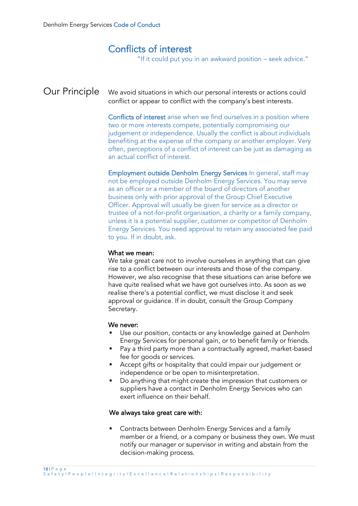### Conflicts of interest

"If it could put you in an awkward position – seek advice."

Our Principle We avoid situations in which our personal interests or actions could conflict or appear to conflict with the company's best interests.

> Conflicts of interest arise when we find ourselves in a position where two or more interests compete, potentially compromising our judgement or independence. Usually the conflict is about individuals benefiting at the expense of the company or another employer. Very often, perceptions of a conflict of interest can be just as damaging as an actual conflict of interest.

> Employment outside Denholm Energy Services In general, staff may not be employed outside Denholm Energy Services. You may serve as an officer or a member of the board of directors of another business only with prior approval of the Group Chief Executive Officer. Approval will usually be given for service as a director or trustee of a not-for-profit organisation, a charity or a family company, unless it is a potential supplier, customer or competitor of Denholm Energy Services. You need approval to retain any associated fee paid to you. If in doubt, ask.

#### What we mean:

We take great care not to involve ourselves in anything that can give rise to a conflict between our interests and those of the company. However, we also recognise that these situations can arise before we have quite realised what we have got ourselves into. As soon as we realise there's a potential conflict, we must disclose it and seek approval or guidance. If in doubt, consult the Group Company Secretary.

#### We never:

- Use our position, contacts or any knowledge gained at Denholm Energy Services for personal gain, or to benefit family or friends.
- Pay a third party more than a contractually agreed, market-based fee for goods or services.
- Accept gifts or hospitality that could impair our judgement or independence or be open to misinterpretation.
- Do anything that might create the impression that customers or suppliers have a contact in Denholm Energy Services who can exert influence on their behalf.

#### We always take great care with:

Contracts between Denholm Energy Services and a family member or a friend, or a company or business they own. We must notify our manager or supervisor in writing and abstain from the decision-making process.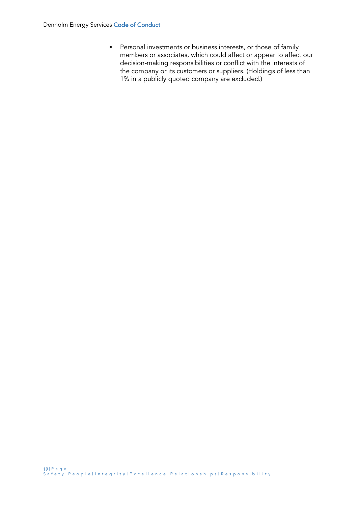■ Personal investments or business interests, or those of family members or associates, which could affect or appear to affect our decision-making responsibilities or conflict with the interests of the company or its customers or suppliers. (Holdings of less than 1% in a publicly quoted company are excluded.)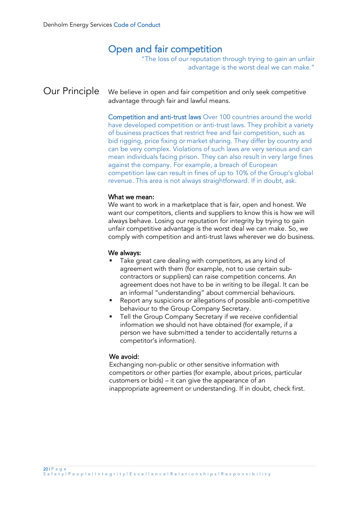### Open and fair competition

"The loss of our reputation through trying to gain an unfair advantage is the worst deal we can make."

### Our Principle We believe in open and fair competition and only seek competitive advantage through fair and lawful means.

Competition and anti-trust laws Over 100 countries around the world have developed competition or anti-trust laws. They prohibit a variety of business practices that restrict free and fair competition, such as bid rigging, price fixing or market sharing. They differ by country and can be very complex. Violations of such laws are very serious and can mean individuals facing prison. They can also result in very large fines against the company. For example, a breach of European competition law can result in fines of up to 10% of the Group's global revenue. This area is not always straightforward. If in doubt, ask.

#### What we mean:

We want to work in a marketplace that is fair, open and honest. We want our competitors, clients and suppliers to know this is how we will always behave. Losing our reputation for integrity by trying to gain unfair competitive advantage is the worst deal we can make. So, we comply with competition and anti-trust laws wherever we do business.

#### We always:

- Take great care dealing with competitors, as any kind of agreement with them (for example, not to use certain subcontractors or suppliers) can raise competition concerns. An agreement does not have to be in writing to be illegal. It can be an informal "understanding" about commercial behaviours.
- Report any suspicions or allegations of possible anti-competitive behaviour to the Group Company Secretary.
- Tell the Group Company Secretary if we receive confidential information we should not have obtained (for example, if a person we have submitted a tender to accidentally returns a competitor's information).

#### We avoid:

Exchanging non-public or other sensitive information with competitors or other parties (for example, about prices, particular customers or bids) – it can give the appearance of an inappropriate agreement or understanding. If in doubt, check first.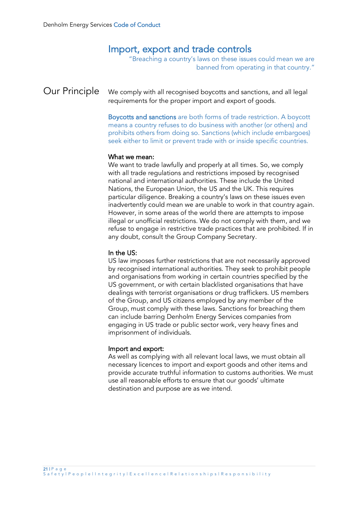# Import, export and trade controls

"Breaching a country's laws on these issues could mean we are banned from operating in that country."

### Our Principle We comply with all recognised boycotts and sanctions, and all legal requirements for the proper import and export of goods.

Boycotts and sanctions are both forms of trade restriction. A boycott means a country refuses to do business with another (or others) and prohibits others from doing so. Sanctions (which include embargoes) seek either to limit or prevent trade with or inside specific countries.

#### What we mean:

We want to trade lawfully and properly at all times. So, we comply with all trade regulations and restrictions imposed by recognised national and international authorities. These include the United Nations, the European Union, the US and the UK. This requires particular diligence. Breaking a country's laws on these issues even inadvertently could mean we are unable to work in that country again. However, in some areas of the world there are attempts to impose illegal or unofficial restrictions. We do not comply with them, and we refuse to engage in restrictive trade practices that are prohibited. If in any doubt, consult the Group Company Secretary.

#### In the US:

US law imposes further restrictions that are not necessarily approved by recognised international authorities. They seek to prohibit people and organisations from working in certain countries specified by the US government, or with certain blacklisted organisations that have dealings with terrorist organisations or drug traffickers. US members of the Group, and US citizens employed by any member of the Group, must comply with these laws. Sanctions for breaching them can include barring Denholm Energy Services companies from engaging in US trade or public sector work, very heavy fines and imprisonment of individuals.

#### Import and export:

As well as complying with all relevant local laws, we must obtain all necessary licences to import and export goods and other items and provide accurate truthful information to customs authorities. We must use all reasonable efforts to ensure that our goods' ultimate destination and purpose are as we intend.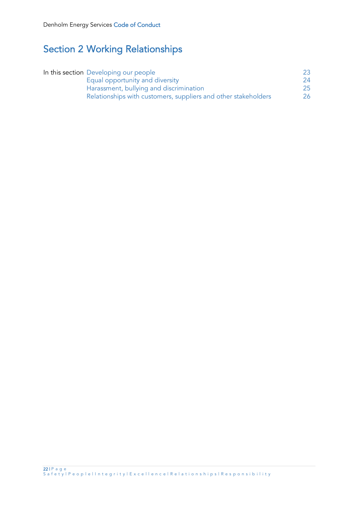# Section 2 Working Relationships

| In this section Developing our people                          | 23  |
|----------------------------------------------------------------|-----|
| Equal opportunity and diversity                                | 24  |
| Harassment, bullying and discrimination                        | 25  |
| Relationships with customers, suppliers and other stakeholders | 26. |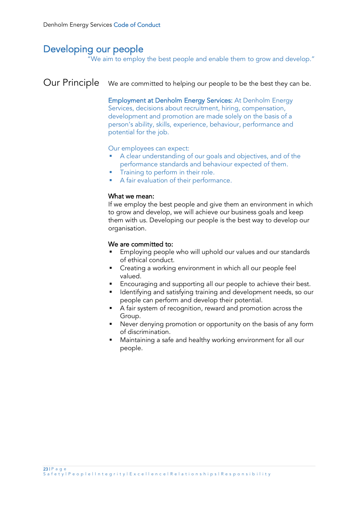# Developing our people

"We aim to employ the best people and enable them to grow and develop."

## Our Principle We are committed to helping our people to be the best they can be.

Employment at Denholm Energy Services: At Denholm Energy Services, decisions about recruitment, hiring, compensation, development and promotion are made solely on the basis of a person's ability, skills, experience, behaviour, performance and potential for the job.

#### Our employees can expect:

- A clear understanding of our goals and objectives, and of the performance standards and behaviour expected of them.
- Training to perform in their role.
- A fair evaluation of their performance.

#### What we mean:

If we employ the best people and give them an environment in which to grow and develop, we will achieve our business goals and keep them with us. Developing our people is the best way to develop our organisation.

#### We are committed to:

- Employing people who will uphold our values and our standards of ethical conduct.
- Creating a working environment in which all our people feel valued.
- **Encouraging and supporting all our people to achieve their best.**
- Identifying and satisfying training and development needs, so our people can perform and develop their potential.
- A fair system of recognition, reward and promotion across the Group.
- Never denying promotion or opportunity on the basis of any form of discrimination.
- Maintaining a safe and healthy working environment for all our people.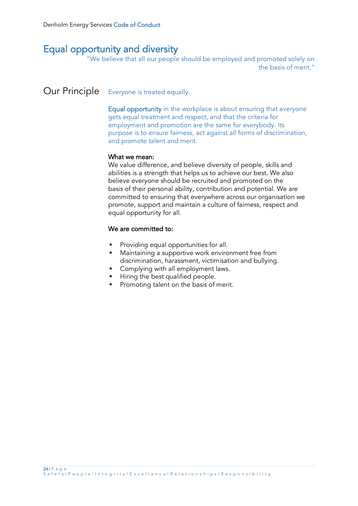# Equal opportunity and diversity

"We believe that all our people should be employed and promoted solely on the basis of merit."

### Our Principle Everyone is treated equally.

Equal opportunity in the workplace is about ensuring that everyone gets equal treatment and respect, and that the criteria for employment and promotion are the same for everybody. Its purpose is to ensure fairness, act against all forms of discrimination, and promote talent and merit.

#### What we mean:

We value difference, and believe diversity of people, skills and abilities is a strength that helps us to achieve our best. We also believe everyone should be recruited and promoted on the basis of their personal ability, contribution and potential. We are committed to ensuring that everywhere across our organisation we promote, support and maintain a culture of fairness, respect and equal opportunity for all.

### We are committed to:

- Providing equal opportunities for all.
- Maintaining a supportive work environment free from discrimination, harassment, victimisation and bullying.
- Complying with all employment laws.
- Hiring the best qualified people.
- Promoting talent on the basis of merit.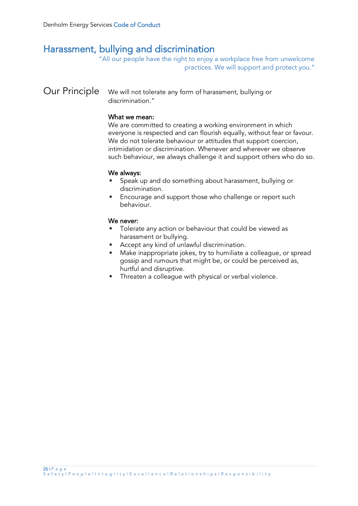# Harassment, bullying and discrimination

"All our people have the right to enjoy a workplace free from unwelcome practices. We will support and protect you."

### Our Principle We will not tolerate any form of harassment, bullying or discrimination."

#### What we mean:

We are committed to creating a working environment in which everyone is respected and can flourish equally, without fear or favour. We do not tolerate behaviour or attitudes that support coercion, intimidation or discrimination. Whenever and wherever we observe such behaviour, we always challenge it and support others who do so.

#### We always:

- Speak up and do something about harassment, bullying or discrimination.
- Encourage and support those who challenge or report such behaviour.

- Tolerate any action or behaviour that could be viewed as harassment or bullying.
- Accept any kind of unlawful discrimination.
- Make inappropriate jokes, try to humiliate a colleague, or spread gossip and rumours that might be, or could be perceived as, hurtful and disruptive.
- **•** Threaten a colleague with physical or verbal violence.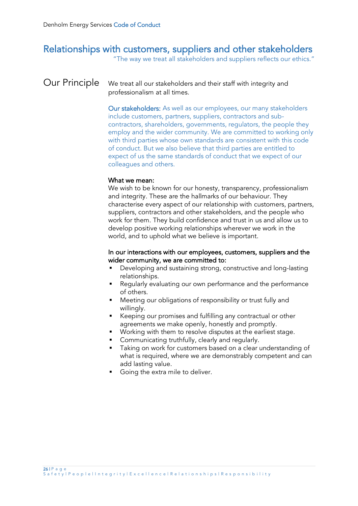# Relationships with customers, suppliers and other stakeholders

"The way we treat all stakeholders and suppliers reflects our ethics."

### Our Principle We treat all our stakeholders and their staff with integrity and professionalism at all times.

Our stakeholders: As well as our employees, our many stakeholders include customers, partners, suppliers, contractors and subcontractors, shareholders, governments, regulators, the people they employ and the wider community. We are committed to working only with third parties whose own standards are consistent with this code of conduct. But we also believe that third parties are entitled to expect of us the same standards of conduct that we expect of our colleagues and others.

#### What we mean:

We wish to be known for our honesty, transparency, professionalism and integrity. These are the hallmarks of our behaviour. They characterise every aspect of our relationship with customers, partners, suppliers, contractors and other stakeholders, and the people who work for them. They build confidence and trust in us and allow us to develop positive working relationships wherever we work in the world, and to uphold what we believe is important.

#### In our interactions with our employees, customers, suppliers and the wider community, we are committed to:

- Developing and sustaining strong, constructive and long-lasting relationships.
- Regularly evaluating our own performance and the performance of others.
- Meeting our obligations of responsibility or trust fully and willingly.
- Keeping our promises and fulfilling any contractual or other agreements we make openly, honestly and promptly.
- Working with them to resolve disputes at the earliest stage.
- Communicating truthfully, clearly and regularly.
- Taking on work for customers based on a clear understanding of what is required, where we are demonstrably competent and can add lasting value.
- Going the extra mile to deliver.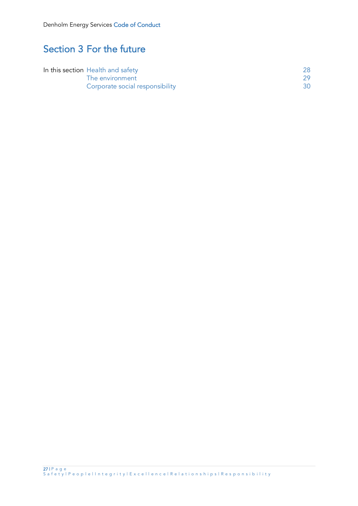# Section 3 For the future

| In this section Health and safety |                                 | 28. |
|-----------------------------------|---------------------------------|-----|
|                                   | The environment                 |     |
|                                   | Corporate social responsibility | 30. |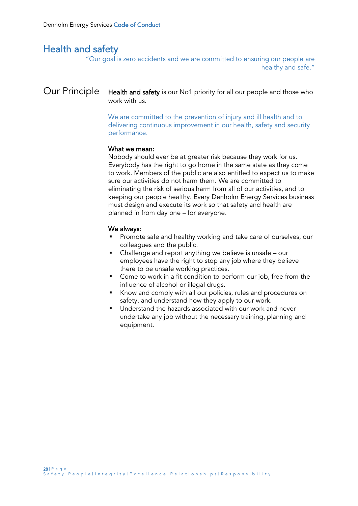# Health and safety

"Our goal is zero accidents and we are committed to ensuring our people are healthy and safe."

### Our Principle Health and safety is our No1 priority for all our people and those who work with us.

We are committed to the prevention of injury and ill health and to delivering continuous improvement in our health, safety and security performance.

#### What we mean:

Nobody should ever be at greater risk because they work for us. Everybody has the right to go home in the same state as they come to work. Members of the public are also entitled to expect us to make sure our activities do not harm them. We are committed to eliminating the risk of serious harm from all of our activities, and to keeping our people healthy. Every Denholm Energy Services business must design and execute its work so that safety and health are planned in from day one – for everyone.

#### We always:

- Promote safe and healthy working and take care of ourselves, our colleagues and the public.
- Challenge and report anything we believe is unsafe our employees have the right to stop any job where they believe there to be unsafe working practices.
- Come to work in a fit condition to perform our job, free from the influence of alcohol or illegal drugs.
- Know and comply with all our policies, rules and procedures on safety, and understand how they apply to our work.
- Understand the hazards associated with our work and never undertake any job without the necessary training, planning and equipment.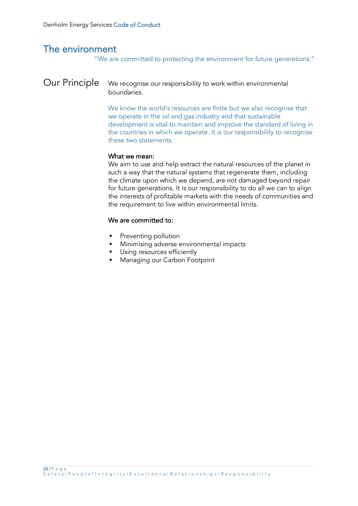# The environment

"We are committed to protecting the environment for future generations."

### Our Principle We recognise our responsibility to work within environmental boundaries.

We know the world's resources are finite but we also recognise that we operate in the oil and gas industry and that sustainable development is vital to maintain and improve the standard of living in the countries in which we operate. It is our responsibility to recognise these two statements.

#### What we mean:

We aim to use and help extract the natural resources of the planet in such a way that the natural systems that regenerate them, including the climate upon which we depend, are not damaged beyond repair for future generations. It is our responsibility to do all we can to align the interests of profitable markets with the needs of communities and the requirement to live within environmental limits.

### We are committed to:

- Preventing pollution
- Minimising adverse environmental impacts
- Using resources efficiently
- Managing our Carbon Footprint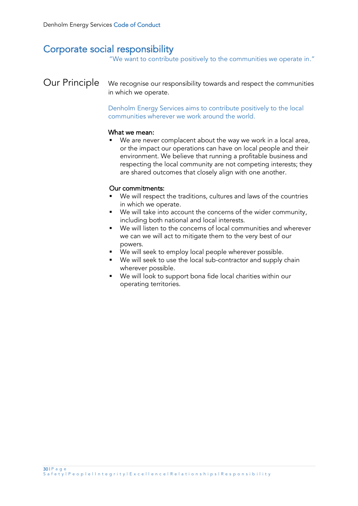# Corporate social responsibility

"We want to contribute positively to the communities we operate in."

Our Principle We recognise our responsibility towards and respect the communities in which we operate.

> Denholm Energy Services aims to contribute positively to the local communities wherever we work around the world.

#### What we mean:

We are never complacent about the way we work in a local area, or the impact our operations can have on local people and their environment. We believe that running a profitable business and respecting the local community are not competing interests; they are shared outcomes that closely align with one another.

### Our commitments:

- We will respect the traditions, cultures and laws of the countries in which we operate.
- We will take into account the concerns of the wider community, including both national and local interests.
- We will listen to the concerns of local communities and wherever we can we will act to mitigate them to the very best of our powers.
- We will seek to employ local people wherever possible.
- We will seek to use the local sub-contractor and supply chain wherever possible.
- We will look to support bona fide local charities within our operating territories.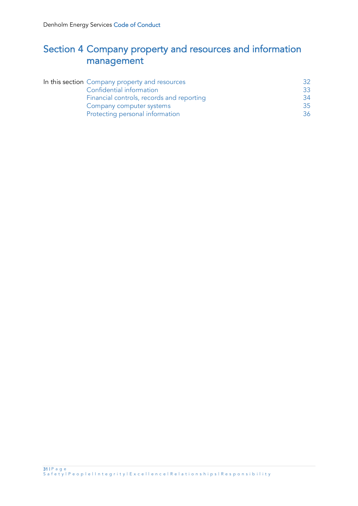# Section 4 Company property and resources and information management

| In this section Company property and resources | 32. |
|------------------------------------------------|-----|
| Confidential information                       | 33  |
| Financial controls, records and reporting      | 34  |
| Company computer systems                       | 35  |
| Protecting personal information                | 36  |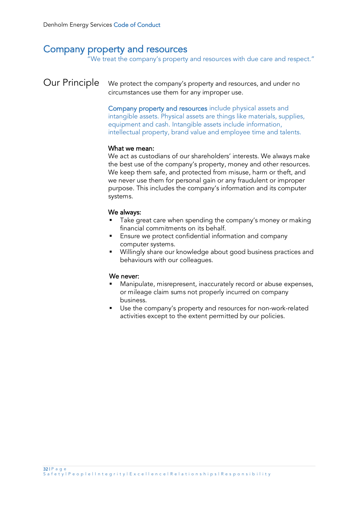### Company property and resources

"We treat the company's property and resources with due care and respect."

Our Principle We protect the company's property and resources, and under no circumstances use them for any improper use.

> Company property and resources include physical assets and intangible assets. Physical assets are things like materials, supplies, equipment and cash. Intangible assets include information, intellectual property, brand value and employee time and talents.

#### What we mean:

We act as custodians of our shareholders' interests. We always make the best use of the company's property, money and other resources. We keep them safe, and protected from misuse, harm or theft, and we never use them for personal gain or any fraudulent or improper purpose. This includes the company's information and its computer systems.

#### We always:

- Take great care when spending the company's money or making financial commitments on its behalf.
- Ensure we protect confidential information and company computer systems.
- Willingly share our knowledge about good business practices and behaviours with our colleagues.

- Manipulate, misrepresent, inaccurately record or abuse expenses, or mileage claim sums not properly incurred on company business.
- Use the company's property and resources for non-work-related activities except to the extent permitted by our policies.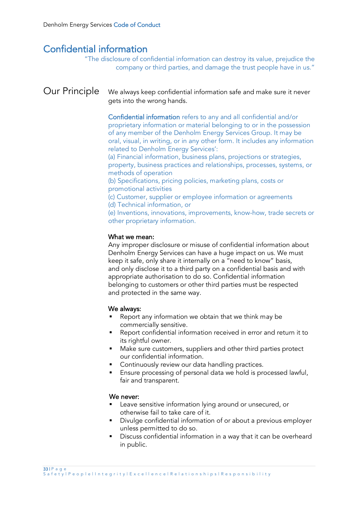## Confidential information

"The disclosure of confidential information can destroy its value, prejudice the company or third parties, and damage the trust people have in us."

### Our Principle We always keep confidential information safe and make sure it never gets into the wrong hands.

Confidential information refers to any and all confidential and/or proprietary information or material belonging to or in the possession of any member of the Denholm Energy Services Group. It may be oral, visual, in writing, or in any other form. It includes any information related to Denholm Energy Services':

(a) Financial information, business plans, projections or strategies, property, business practices and relationships, processes, systems, or methods of operation

(b) Specifications, pricing policies, marketing plans, costs or promotional activities

(c) Customer, supplier or employee information or agreements (d) Technical information, or

(e) Inventions, innovations, improvements, know-how, trade secrets or other proprietary information.

#### What we mean:

Any improper disclosure or misuse of confidential information about Denholm Energy Services can have a huge impact on us. We must keep it safe, only share it internally on a "need to know" basis, and only disclose it to a third party on a confidential basis and with appropriate authorisation to do so. Confidential information belonging to customers or other third parties must be respected and protected in the same way.

#### We always:

- Report any information we obtain that we think may be commercially sensitive.
- Report confidential information received in error and return it to its rightful owner.
- Make sure customers, suppliers and other third parties protect our confidential information.
- Continuously review our data handling practices.
- Ensure processing of personal data we hold is processed lawful, fair and transparent.

- Leave sensitive information lying around or unsecured, or otherwise fail to take care of it.
- Divulge confidential information of or about a previous employer unless permitted to do so.
- Discuss confidential information in a way that it can be overheard in public.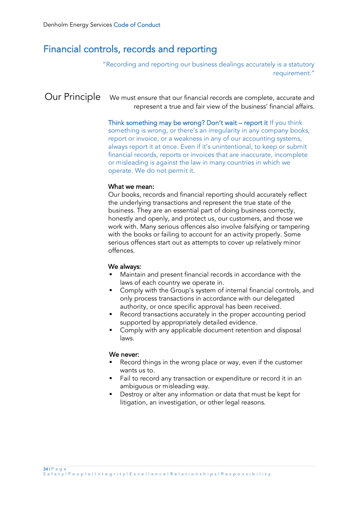## Financial controls, records and reporting

"Recording and reporting our business dealings accurately is a statutory requirement."

Our Principle We must ensure that our financial records are complete, accurate and represent a true and fair view of the business' financial affairs.

> Think something may be wrong? Don't wait – report it If you think something is wrong, or there's an irregularity in any company books, report or invoice, or a weakness in any of our accounting systems, always report it at once. Even if it's unintentional, to keep or submit financial records, reports or invoices that are inaccurate, incomplete or misleading is against the law in many countries in which we operate. We do not permit it.

#### What we mean:

Our books, records and financial reporting should accurately reflect the underlying transactions and represent the true state of the business. They are an essential part of doing business correctly, honestly and openly, and protect us, our customers, and those we work with. Many serious offences also involve falsifying or tampering with the books or failing to account for an activity properly. Some serious offences start out as attempts to cover up relatively minor offences.

#### We always:

- Maintain and present financial records in accordance with the laws of each country we operate in.
- Comply with the Group's system of internal financial controls, and only process transactions in accordance with our delegated authority, or once specific approval has been received.
- Record transactions accurately in the proper accounting period supported by appropriately detailed evidence.
- Comply with any applicable document retention and disposal laws.

- Record things in the wrong place or way, even if the customer wants us to.
- Fail to record any transaction or expenditure or record it in an ambiguous or misleading way.
- Destroy or alter any information or data that must be kept for litigation, an investigation, or other legal reasons.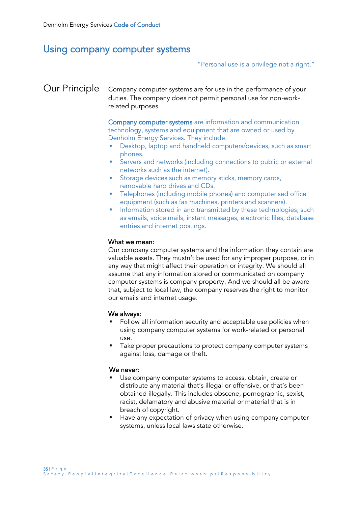### Using company computer systems

"Personal use is a privilege not a right."

### Our Principle Company computer systems are for use in the performance of your duties. The company does not permit personal use for non-workrelated purposes.

Company computer systems are information and communication technology, systems and equipment that are owned or used by Denholm Energy Services. They include:

- Desktop, laptop and handheld computers/devices, such as smart phones.
- **EXECT:** Servers and networks (including connections to public or external networks such as the internet).
- **EXECT:** Storage devices such as memory sticks, memory cards, removable hard drives and CDs.
- **•** Telephones (including mobile phones) and computerised office equipment (such as fax machines, printers and scanners).
- Information stored in and transmitted by these technologies, such as emails, voice mails, instant messages, electronic files, database entries and internet postings.

### What we mean:

Our company computer systems and the information they contain are valuable assets. They mustn't be used for any improper purpose, or in any way that might affect their operation or integrity. We should all assume that any information stored or communicated on company computer systems is company property. And we should all be aware that, subject to local law, the company reserves the right to monitor our emails and internet usage.

#### We always:

- Follow all information security and acceptable use policies when using company computer systems for work-related or personal use.
- Take proper precautions to protect company computer systems against loss, damage or theft.

- Use company computer systems to access, obtain, create or distribute any material that's illegal or offensive, or that's been obtained illegally. This includes obscene, pornographic, sexist, racist, defamatory and abusive material or material that is in breach of copyright.
- Have any expectation of privacy when using company computer systems, unless local laws state otherwise.